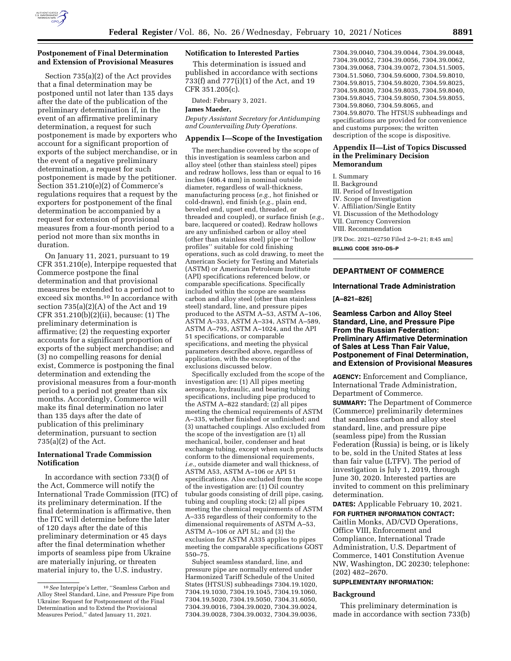

## **Postponement of Final Determination and Extension of Provisional Measures**

Section 735(a)(2) of the Act provides that a final determination may be postponed until not later than 135 days after the date of the publication of the preliminary determination if, in the event of an affirmative preliminary determination, a request for such postponement is made by exporters who account for a significant proportion of exports of the subject merchandise, or in the event of a negative preliminary determination, a request for such postponement is made by the petitioner. Section 351.210(e)(2) of Commerce's regulations requires that a request by the exporters for postponement of the final determination be accompanied by a request for extension of provisional measures from a four-month period to a period not more than six months in duration.

On January 11, 2021, pursuant to 19 CFR 351.210(e), Interpipe requested that Commerce postpone the final determination and that provisional measures be extended to a period not to exceed six months.10 In accordance with section 735(a)(2)(A) of the Act and 19 CFR 351.210(b)(2)(ii), because: (1) The preliminary determination is affirmative; (2) the requesting exporter accounts for a significant proportion of exports of the subject merchandise; and (3) no compelling reasons for denial exist, Commerce is postponing the final determination and extending the provisional measures from a four-month period to a period not greater than six months. Accordingly, Commerce will make its final determination no later than 135 days after the date of publication of this preliminary determination, pursuant to section 735(a)(2) of the Act.

# **International Trade Commission Notification**

In accordance with section 733(f) of the Act, Commerce will notify the International Trade Commission (ITC) of its preliminary determination. If the final determination is affirmative, then the ITC will determine before the later of 120 days after the date of this preliminary determination or 45 days after the final determination whether imports of seamless pipe from Ukraine are materially injuring, or threaten material injury to, the U.S. industry.

## **Notification to Interested Parties**

This determination is issued and published in accordance with sections 733(f) and 777(i)(1) of the Act, and 19 CFR 351.205(c).

Dated: February 3, 2021.

## **James Maeder,**

*Deputy Assistant Secretary for Antidumping and Countervailing Duty Operations.* 

### **Appendix I—Scope of the Investigation**

The merchandise covered by the scope of this investigation is seamless carbon and alloy steel (other than stainless steel) pipes and redraw hollows, less than or equal to 16 inches (406.4 mm) in nominal outside diameter, regardless of wall-thickness, manufacturing process (*e.g.,* hot finished or cold-drawn), end finish (*e.g.,* plain end, beveled end, upset end, threaded, or threaded and coupled), or surface finish (*e.g.,*  bare, lacquered or coated). Redraw hollows are any unfinished carbon or alloy steel (other than stainless steel) pipe or ''hollow profiles'' suitable for cold finishing operations, such as cold drawing, to meet the American Society for Testing and Materials (ASTM) or American Petroleum Institute (API) specifications referenced below, or comparable specifications. Specifically included within the scope are seamless carbon and alloy steel (other than stainless steel) standard, line, and pressure pipes produced to the ASTM A–53, ASTM A–106, ASTM A–333, ASTM A–334, ASTM A–589, ASTM A–795, ASTM A–1024, and the API 51 specifications, or comparable specifications, and meeting the physical parameters described above, regardless of application, with the exception of the exclusions discussed below.

Specifically excluded from the scope of the investigation are: (1) All pipes meeting aerospace, hydraulic, and bearing tubing specifications, including pipe produced to the ASTM A–822 standard; (2) all pipes meeting the chemical requirements of ASTM A–335, whether finished or unfinished; and (3) unattached couplings. Also excluded from the scope of the investigation are (1) all mechanical, boiler, condenser and heat exchange tubing, except when such products conform to the dimensional requirements, *i.e.,* outside diameter and wall thickness, of ASTM A53, ASTM A–106 or API 51 specifications. Also excluded from the scope of the investigation are: (1) Oil country tubular goods consisting of drill pipe, casing, tubing and coupling stock; (2) all pipes meeting the chemical requirements of ASTM A–335 regardless of their conformity to the dimensional requirements of ASTM A–53, ASTM A–106 or API 5L; and (3) the exclusion for ASTM A335 applies to pipes meeting the comparable specifications GOST 550–75.

Subject seamless standard, line, and pressure pipe are normally entered under Harmonized Tariff Schedule of the United States (HTSUS) subheadings 7304.19.1020, 7304.19.1030, 7304.19.1045, 7304.19.1060, 7304.19.5020, 7304.19.5050, 7304.31.6050, 7304.39.0016, 7304.39.0020, 7304.39.0024, 7304.39.0028, 7304.39.0032, 7304.39.0036,

7304.39.0040, 7304.39.0044, 7304.39.0048, 7304.39.0052, 7304.39.0056, 7304.39.0062, 7304.39.0068, 7304.39.0072, 7304.51.5005, 7304.51.5060, 7304.59.6000, 7304.59.8010, 7304.59.8015, 7304.59.8020, 7304.59.8025, 7304.59.8030, 7304.59.8035, 7304.59.8040, 7304.59.8045, 7304.59.8050, 7304.59.8055, 7304.59.8060, 7304.59.8065, and 7304.59.8070. The HTSUS subheadings and specifications are provided for convenience and customs purposes; the written description of the scope is dispositive.

## **Appendix II—List of Topics Discussed in the Preliminary Decision Memorandum**

I. Summary

II. Background

III. Period of Investigation

- IV. Scope of Investigation
- V. Affiliation/Single Entity

VI. Discussion of the Methodology

VII. Currency Conversion

VIII. Recommendation

[FR Doc. 2021–02750 Filed 2–9–21; 8:45 am]

**BILLING CODE 3510–DS–P** 

# **DEPARTMENT OF COMMERCE**

### **International Trade Administration**

**[A–821–826]** 

**Seamless Carbon and Alloy Steel Standard, Line, and Pressure Pipe From the Russian Federation: Preliminary Affirmative Determination of Sales at Less Than Fair Value, Postponement of Final Determination, and Extension of Provisional Measures** 

**AGENCY:** Enforcement and Compliance, International Trade Administration, Department of Commerce.

**SUMMARY:** The Department of Commerce (Commerce) preliminarily determines that seamless carbon and alloy steel standard, line, and pressure pipe (seamless pipe) from the Russian Federation (Russia) is being, or is likely to be, sold in the United States at less than fair value (LTFV). The period of investigation is July 1, 2019, through June 30, 2020. Interested parties are invited to comment on this preliminary determination.

**DATES:** Applicable February 10, 2021.

**FOR FURTHER INFORMATION CONTACT:**  Caitlin Monks, AD/CVD Operations, Office VIII, Enforcement and Compliance, International Trade Administration, U.S. Department of Commerce, 1401 Constitution Avenue NW, Washington, DC 20230; telephone: (202) 482–2670.

## **SUPPLEMENTARY INFORMATION:**

#### **Background**

This preliminary determination is made in accordance with section 733(b)

<sup>10</sup>*See* Interpipe's Letter, ''Seamless Carbon and Alloy Steel Standard, Line, and Pressure Pipe from Ukraine: Request for Postponement of the Final Determination and to Extend the Provisional Measures Period,'' dated January 11, 2021.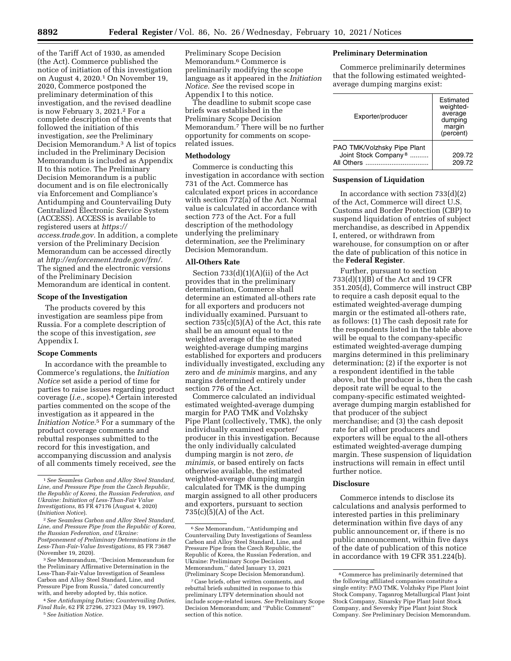of the Tariff Act of 1930, as amended (the Act). Commerce published the notice of initiation of this investigation on August 4, 2020.1 On November 19, 2020, Commerce postponed the preliminary determination of this investigation, and the revised deadline is now February 3, 2021.2 For a complete description of the events that followed the initiation of this investigation, *see* the Preliminary Decision Memorandum.3 A list of topics included in the Preliminary Decision Memorandum is included as Appendix II to this notice. The Preliminary Decision Memorandum is a public document and is on file electronically via Enforcement and Compliance's Antidumping and Countervailing Duty Centralized Electronic Service System (ACCESS). ACCESS is available to registered users at *[https://](https://access.trade.gov) [access.trade.gov.](https://access.trade.gov)* In addition, a complete version of the Preliminary Decision Memorandum can be accessed directly at *[http://enforcement.trade.gov/frn/.](http://enforcement.trade.gov/frn/)*  The signed and the electronic versions of the Preliminary Decision Memorandum are identical in content.

### **Scope of the Investigation**

The products covered by this investigation are seamless pipe from Russia. For a complete description of the scope of this investigation, *see*  Appendix I.

#### **Scope Comments**

In accordance with the preamble to Commerce's regulations, the *Initiation Notice* set aside a period of time for parties to raise issues regarding product coverage (*i.e.,* scope).4 Certain interested parties commented on the scope of the investigation as it appeared in the *Initiation Notice.*5 For a summary of the product coverage comments and rebuttal responses submitted to the record for this investigation, and accompanying discussion and analysis of all comments timely received, *see* the

3*See* Memorandum, ''Decision Memorandum for the Preliminary Affirmative Determination in the Less-Than-Fair-Value Investigation of Seamless Carbon and Alloy Steel Standard, Line, and Pressure Pipe from Russia,'' dated concurrently with, and hereby adopted by, this notice.

4*See Antidumping Duties; Countervailing Duties, Final Rule,* 62 FR 27296, 27323 (May 19, 1997). 5*See Initiation Notice.* 

Preliminary Scope Decision Memorandum.6 Commerce is preliminarily modifying the scope language as it appeared in the *Initiation Notice. See* the revised scope in Appendix I to this notice.

The deadline to submit scope case briefs was established in the Preliminary Scope Decision Memorandum.7 There will be no further opportunity for comments on scoperelated issues.

#### **Methodology**

Commerce is conducting this investigation in accordance with section 731 of the Act. Commerce has calculated export prices in accordance with section 772(a) of the Act. Normal value is calculated in accordance with section 773 of the Act. For a full description of the methodology underlying the preliminary determination, *see* the Preliminary Decision Memorandum.

## **All-Others Rate**

Section 733(d)(1)(A)(ii) of the Act provides that in the preliminary determination, Commerce shall determine an estimated all-others rate for all exporters and producers not individually examined. Pursuant to section 735(c)(5)(A) of the Act, this rate shall be an amount equal to the weighted average of the estimated weighted-average dumping margins established for exporters and producers individually investigated, excluding any zero and *de minimis* margins, and any margins determined entirely under section 776 of the Act.

Commerce calculated an individual estimated weighted-average dumping margin for PAO TMK and Volzhsky Pipe Plant (collectively, TMK), the only individually examined exporter/ producer in this investigation. Because the only individually calculated dumping margin is not zero, *de minimis,* or based entirely on facts otherwise available, the estimated weighted-average dumping margin calculated for TMK is the dumping margin assigned to all other producers and exporters, pursuant to section  $735(c)(5)(A)$  of the Act.

## **Preliminary Determination**

Commerce preliminarily determines that the following estimated weightedaverage dumping margins exist:

| Exporter/producer                                                             | Estimated<br>weighted-<br>average<br>dumping<br>margin<br>(percent) |
|-------------------------------------------------------------------------------|---------------------------------------------------------------------|
| PAO TMK/Volzhsky Pipe Plant<br>Joint Stock Company <sup>8</sup><br>All Others | 209.72<br>209.72                                                    |

#### **Suspension of Liquidation**

In accordance with section 733(d)(2) of the Act, Commerce will direct U.S. Customs and Border Protection (CBP) to suspend liquidation of entries of subject merchandise, as described in Appendix I, entered, or withdrawn from warehouse, for consumption on or after the date of publication of this notice in the **Federal Register**.

Further, pursuant to section 733(d)(1)(B) of the Act and 19 CFR 351.205(d), Commerce will instruct CBP to require a cash deposit equal to the estimated weighted-average dumping margin or the estimated all-others rate, as follows: (1) The cash deposit rate for the respondents listed in the table above will be equal to the company-specific estimated weighted-average dumping margins determined in this preliminary determination; (2) if the exporter is not a respondent identified in the table above, but the producer is, then the cash deposit rate will be equal to the company-specific estimated weightedaverage dumping margin established for that producer of the subject merchandise; and (3) the cash deposit rate for all other producers and exporters will be equal to the all-others estimated weighted-average dumping margin. These suspension of liquidation instructions will remain in effect until further notice.

#### **Disclosure**

Commerce intends to disclose its calculations and analysis performed to interested parties in this preliminary determination within five days of any public announcement or, if there is no public announcement, within five days of the date of publication of this notice in accordance with 19 CFR 351.224(b).

<sup>1</sup>*See Seamless Carbon and Alloy Steel Standard, Line, and Pressure Pipe from the Czech Republic, the Republic of Korea, the Russian Federation, and Ukraine: Initiation of Less-Than-Fair Value Investigations,* 85 FR 47176 (August 4, 2020)

<sup>(</sup>*Initiation Notice*). 2*See Seamless Carbon and Alloy Steel Standard, Line, and Pressure Pipe from the Republic of Korea, the Russian Federation, and Ukraine: Postponement of Preliminary Determinations in the Less-Than-Fair-Value Investigations,* 85 FR 73687 (November 19, 2020).

<sup>6</sup>*See* Memorandum, ''Antidumping and Countervailing Duty Investigations of Seamless Carbon and Alloy Steel Standard, Line, and Pressure Pipe from the Czech Republic, the Republic of Korea, the Russian Federation, and Ukraine: Preliminary Scope Decision Memorandum,'' dated January 13, 2021

<sup>&</sup>lt;sup>7</sup> Case briefs, other written comments, and rebuttal briefs submitted in response to this preliminary LTFV determination should not include scope-related issues. *See* Preliminary Scope Decision Memorandum; and ''Public Comment'' section of this notice.

<sup>8</sup>Commerce has preliminarily determined that the following affiliated companies constitute a single entity: PAO TMK, Volzhsky Pipe Plant Joint Stock Company, Taganrog Metallurgical Plant Joint Stock Company, Sinarsky Pipe Plant Joint Stock Company, and Seversky Pipe Plant Joint Stock Company. *See* Preliminary Decision Memorandum.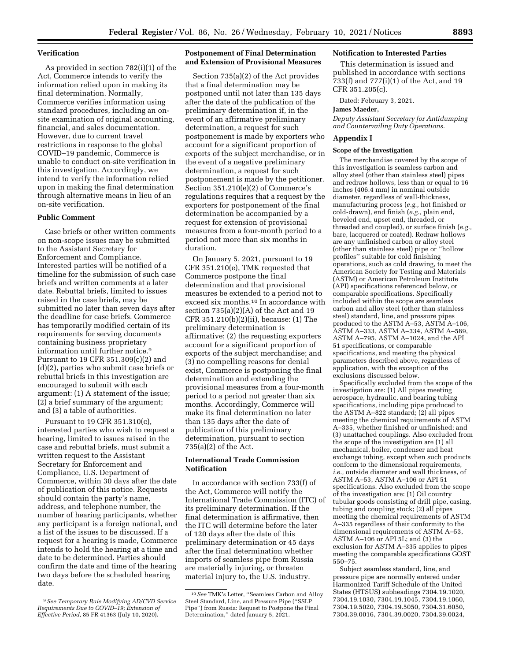## **Verification**

As provided in section 782(i)(1) of the Act, Commerce intends to verify the information relied upon in making its final determination. Normally, Commerce verifies information using standard procedures, including an onsite examination of original accounting, financial, and sales documentation. However, due to current travel restrictions in response to the global COVID–19 pandemic, Commerce is unable to conduct on-site verification in this investigation. Accordingly, we intend to verify the information relied upon in making the final determination through alternative means in lieu of an on-site verification.

### **Public Comment**

Case briefs or other written comments on non-scope issues may be submitted to the Assistant Secretary for Enforcement and Compliance. Interested parties will be notified of a timeline for the submission of such case briefs and written comments at a later date. Rebuttal briefs, limited to issues raised in the case briefs, may be submitted no later than seven days after the deadline for case briefs. Commerce has temporarily modified certain of its requirements for serving documents containing business proprietary information until further notice.9 Pursuant to 19 CFR 351.309(c)(2) and (d)(2), parties who submit case briefs or rebuttal briefs in this investigation are encouraged to submit with each argument: (1) A statement of the issue; (2) a brief summary of the argument; and (3) a table of authorities.

Pursuant to 19 CFR 351.310(c), interested parties who wish to request a hearing, limited to issues raised in the case and rebuttal briefs, must submit a written request to the Assistant Secretary for Enforcement and Compliance, U.S. Department of Commerce, within 30 days after the date of publication of this notice. Requests should contain the party's name, address, and telephone number, the number of hearing participants, whether any participant is a foreign national, and a list of the issues to be discussed. If a request for a hearing is made, Commerce intends to hold the hearing at a time and date to be determined. Parties should confirm the date and time of the hearing two days before the scheduled hearing date.

# **Postponement of Final Determination and Extension of Provisional Measures**

Section 735(a)(2) of the Act provides that a final determination may be postponed until not later than 135 days after the date of the publication of the preliminary determination if, in the event of an affirmative preliminary determination, a request for such postponement is made by exporters who account for a significant proportion of exports of the subject merchandise, or in the event of a negative preliminary determination, a request for such postponement is made by the petitioner. Section 351.210(e)(2) of Commerce's regulations requires that a request by the exporters for postponement of the final determination be accompanied by a request for extension of provisional measures from a four-month period to a period not more than six months in duration.

On January 5, 2021, pursuant to 19 CFR 351.210(e), TMK requested that Commerce postpone the final determination and that provisional measures be extended to a period not to exceed six months.10 In accordance with section 735(a)(2)(A) of the Act and 19 CFR 351.210(b)(2)(ii), because: (1) The preliminary determination is affirmative; (2) the requesting exporters account for a significant proportion of exports of the subject merchandise; and (3) no compelling reasons for denial exist, Commerce is postponing the final determination and extending the provisional measures from a four-month period to a period not greater than six months. Accordingly, Commerce will make its final determination no later than 135 days after the date of publication of this preliminary determination, pursuant to section 735(a)(2) of the Act.

# **International Trade Commission Notification**

In accordance with section 733(f) of the Act, Commerce will notify the International Trade Commission (ITC) of its preliminary determination. If the final determination is affirmative, then the ITC will determine before the later of 120 days after the date of this preliminary determination or 45 days after the final determination whether imports of seamless pipe from Russia are materially injuring, or threaten material injury to, the U.S. industry.

## **Notification to Interested Parties**

This determination is issued and published in accordance with sections 733(f) and 777(i)(1) of the Act, and 19 CFR 351.205(c).

Dated: February 3, 2021.

## **James Maeder,**

*Deputy Assistant Secretary for Antidumping and Countervailing Duty Operations.* 

## **Appendix I**

#### **Scope of the Investigation**

The merchandise covered by the scope of this investigation is seamless carbon and alloy steel (other than stainless steel) pipes and redraw hollows, less than or equal to 16 inches (406.4 mm) in nominal outside diameter, regardless of wall-thickness, manufacturing process (*e.g.,* hot finished or cold-drawn), end finish (*e.g.,* plain end, beveled end, upset end, threaded, or threaded and coupled), or surface finish (*e.g.,*  bare, lacquered or coated). Redraw hollows are any unfinished carbon or alloy steel (other than stainless steel) pipe or ''hollow profiles'' suitable for cold finishing operations, such as cold drawing, to meet the American Society for Testing and Materials (ASTM) or American Petroleum Institute (API) specifications referenced below, or comparable specifications. Specifically included within the scope are seamless carbon and alloy steel (other than stainless steel) standard, line, and pressure pipes produced to the ASTM A–53, ASTM A–106, ASTM A–333, ASTM A–334, ASTM A–589, ASTM A–795, ASTM A–1024, and the API 51 specifications, or comparable specifications, and meeting the physical parameters described above, regardless of application, with the exception of the exclusions discussed below.

Specifically excluded from the scope of the investigation are: (1) All pipes meeting aerospace, hydraulic, and bearing tubing specifications, including pipe produced to the ASTM A–822 standard; (2) all pipes meeting the chemical requirements of ASTM A–335, whether finished or unfinished; and (3) unattached couplings. Also excluded from the scope of the investigation are (1) all mechanical, boiler, condenser and heat exchange tubing, except when such products conform to the dimensional requirements, i.e., outside diameter and wall thickness, of ASTM A–53, ASTM A–106 or API 51 specifications. Also excluded from the scope of the investigation are: (1) Oil country tubular goods consisting of drill pipe, casing, tubing and coupling stock; (2) all pipes meeting the chemical requirements of ASTM A–335 regardless of their conformity to the dimensional requirements of ASTM A–53, ASTM A–106 or API 5L; and (3) the exclusion for ASTM A–335 applies to pipes meeting the comparable specifications GOST 550–75.

Subject seamless standard, line, and pressure pipe are normally entered under Harmonized Tariff Schedule of the United States (HTSUS) subheadings 7304.19.1020, 7304.19.1030, 7304.19.1045, 7304.19.1060, 7304.19.5020, 7304.19.5050, 7304.31.6050, 7304.39.0016, 7304.39.0020, 7304.39.0024,

<sup>9</sup>*See Temporary Rule Modifying AD/CVD Service Requirements Due to COVID–19; Extension of Effective Period,* 85 FR 41363 (July 10, 2020).

<sup>10</sup>*See* TMK's Letter, ''Seamless Carbon and Alloy Steel Standard, Line, and Pressure Pipe (''SSLP Pipe'') from Russia: Request to Postpone the Final Determination,'' dated January 5, 2021.